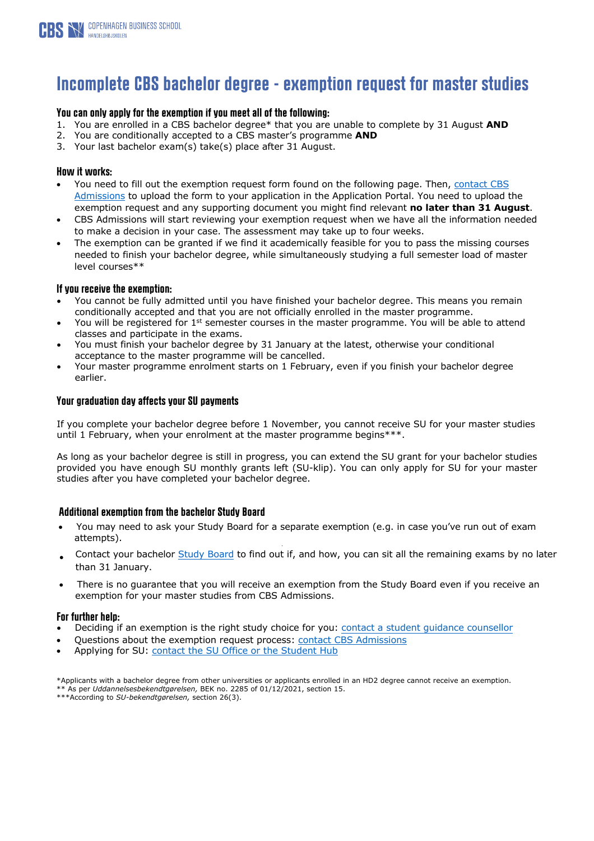

## **Incomplete CBS bachelor degree - exemption request for master studies**

#### **You can only apply for the exemption if you meet all of the following:**

- 1. You are enrolled in a CBS bachelor degree\* that you are unable to complete by 31 August **AND**
- 2. You are conditionally accepted to a CBS master's programme **AND**
- 3. Your last bachelor exam(s) take(s) place after 31 August.

#### **How it works:**

- You need to fill out the exemption request form found on the following page. Then, contact CBS Admissions to upload the form [to your application in the Application Portal. You need to upload t](https://www.cbs.dk/en/study/graduate/contact-graduate)he exemption request and any supporting document you might find relevant **no later than 31 August**.
- CBS Admissions will start reviewing your exemption request when we have all the information needed to make a decision in your case. The assessment may take up to four weeks.
- The exemption can be granted if we find it academically feasible for you to pass the missing courses needed to finish your bachelor degree, while simultaneously studying a full semester load of master level courses\*\*

#### **If you receive the exemption:**

- You cannot be fully admitted until you have finished your bachelor degree. This means you remain conditionally accepted and that you are not officially enrolled in the master programme.
- You will be registered for 1<sup>st</sup> semester courses in the master programme. You will be able to attend classes and participate in the exams.
- You must finish your bachelor degree by 31 January at the latest, otherwise your conditional acceptance to the master programme will be cancelled.
- Your master programme enrolment starts on 1 February, even if you finish your bachelor degree earlier.

#### **Your graduation day affects your SU payments**

If you complete your bachelor degree before 1 November, you cannot receive SU for your master studies until 1 February, when your enrolment at the master programme begins\*\*\*.

As long as your bachelor degree is still in progress, you can extend the SU grant for your bachelor studies provided you have enough SU monthly grants left (SU-klip). You can only apply for SU for your master studies after you have completed your bachelor degree.

#### **Additional exemption from the bachelor Study Board**

- You may need to ask your Study Board for a separate exemption (e.g. in case you've run out of exam attempts). •
- Contact your bachelor [Study Board](https://studentcbs.sharepoint.com/sites/CoursesAndExams/SitePages/en/Members-and-contact.aspx) to find out if, and how, you can sit all the remaining exams by no later than 31 January.
- There is no guarantee that you will receive an exemption from the Study Board even if you receive an exemption for your master studies from CBS Admissions.

#### **For further help:**

- Deciding if an ex[emption is the right study choice for you: contact a stude](https://www.cbs.dk/en/study/graduate/contact-graduate)nt guidance counsellor
- Questions about the exemption request process: contact CBS Admissions
- Applying for SU: contact the SU Office or the Student Hub

\*Applicants with a bachelor degree from other universities or applicants enrolled in an HD2 degree cannot receive an exemption. \*\* As per *Uddannelsesbekendtgørelsen,* BEK no. 2285 of 01/12/2021, section 15.

\*\*\*According to *SU-bekendtgørelsen,* section 26(3).